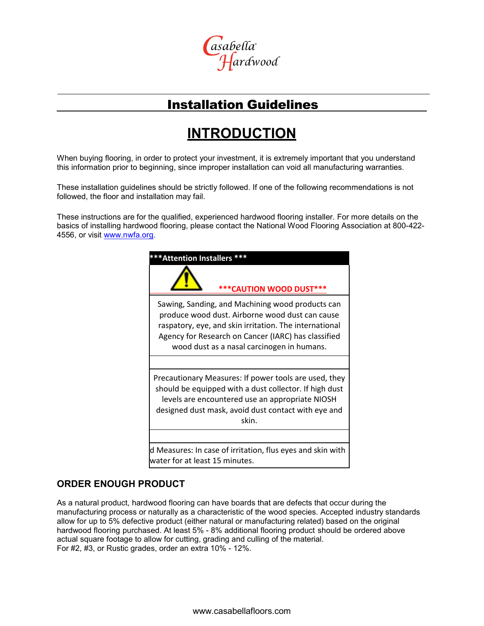

## Installation Guidelines

## **INTRODUCTION**

When buying flooring, in order to protect your investment, it is extremely important that you understand this information prior to beginning, since improper installation can void all manufacturing warranties.

These installation guidelines should be strictly followed. If one of the following recommendations is not followed, the floor and installation may fail.

These instructions are for the qualified, experienced hardwood flooring installer. For more details on the basics of installing hardwood flooring, please contact the National Wood Flooring Association at 800-422 4556, or visit [www.nwfa.org.](http://www.nwfa.org/)



### **ORDER ENOUGH PRODUCT**

As a natural product, hardwood flooring can have boards that are defects that occur during the manufacturing process or naturally as a characteristic of the wood species. Accepted industry standards allow for up to 5% defective product (either natural or manufacturing related) based on the original hardwood flooring purchased. At least 5% - 8% additional flooring product should be ordered above actual square footage to allow for cutting, grading and culling of the material. For #2, #3, or Rustic grades, order an extra 10% - 12%.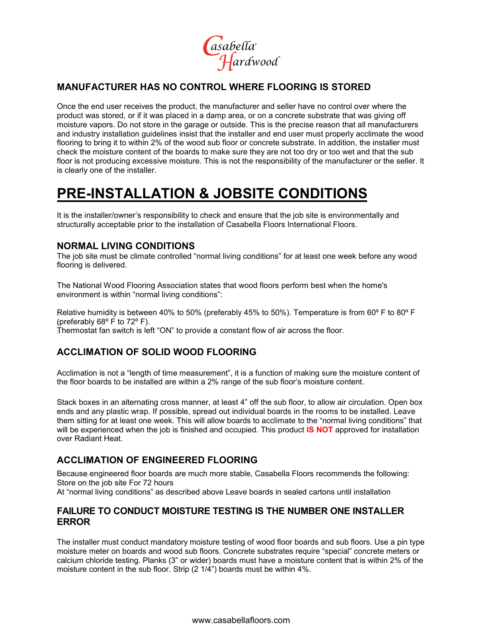asabella<br>Hardwood

## **MANUFACTURER HAS NO CONTROL WHERE FLOORING IS STORED**

Once the end user receives the product, the manufacturer and seller have no control over where the product was stored, or if it was placed in a damp area, or on a concrete substrate that was giving off moisture vapors. Do not store in the garage or outside. This is the precise reason that all manufacturers and industry installation guidelines insist that the installer and end user must properly acclimate the wood flooring to bring it to within 2% of the wood sub floor or concrete substrate. In addition, the installer must check the moisture content of the boards to make sure they are not too dry or too wet and that the sub floor is not producing excessive moisture. This is not the responsibility of the manufacturer or the seller. It is clearly one of the installer.

## **PRE-INSTALLATION & JOBSITE CONDITIONS**

It is the installer/owner's responsibility to check and ensure that the job site is environmentally and structurally acceptable prior to the installation of Casabella Floors International Floors.

### **NORMAL LIVING CONDITIONS**

The job site must be climate controlled "normal living conditions" for at least one week before any wood flooring is delivered.

The National Wood Flooring Association states that wood floors perform best when the home's environment is within "normal living conditions":

Relative humidity is between 40% to 50% (preferably 45% to 50%). Temperature is from 60º F to 80º F (preferably 68º F to 72º F). Thermostat fan switch is left "ON" to provide a constant flow of air across the floor.

### **ACCLIMATION OF SOLID WOOD FLOORING**

Acclimation is not a "length of time measurement", it is a function of making sure the moisture content of the floor boards to be installed are within a 2% range of the sub floor's moisture content.

Stack boxes in an alternating cross manner, at least 4" off the sub floor, to allow air circulation. Open box ends and any plastic wrap. If possible, spread out individual boards in the rooms to be installed. Leave them sitting for at least one week. This will allow boards to acclimate to the "normal living conditions" that will be experienced when the job is finished and occupied. This product **IS NOT** approved for installation over Radiant Heat.

### **ACCLIMATION OF ENGINEERED FLOORING**

Because engineered floor boards are much more stable, Casabella Floors recommends the following: Store on the job site For 72 hours

At "normal living conditions" as described above Leave boards in sealed cartons until installation

### **FAILURE TO CONDUCT MOISTURE TESTING IS THE NUMBER ONE INSTALLER ERROR**

The installer must conduct mandatory moisture testing of wood floor boards and sub floors. Use a pin type moisture meter on boards and wood sub floors. Concrete substrates require "special" concrete meters or calcium chloride testing. Planks (3" or wider) boards must have a moisture content that is within 2% of the moisture content in the sub floor. Strip (2 1/4") boards must be within 4%.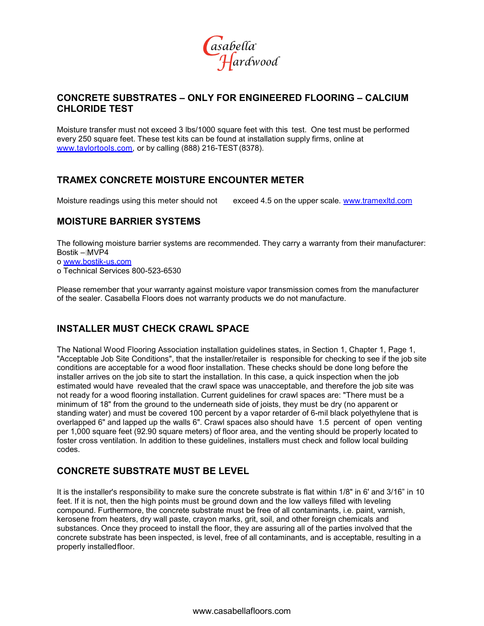

### **CONCRETE SUBSTRATES – ONLY FOR ENGINEERED FLOORING – CALCIUM CHLORIDE TEST**

Moisture transfer must not exceed 3 lbs/1000 square feet with this test. One test must be performed every 250 square feet. These test kits can be found at installation supply firms, online at [www.taylortools.com, o](http://www.taylortools.com/)r by calling (888) 216-TEST (8378).

## **TRAMEX CONCRETE MOISTURE ENCOUNTER METER**

Moisture readings using this meter should not exceed 4.5 on the upper scale. [www.tramexltd.com](http://www.tramexltd.com/)

### **MOISTURE BARRIER SYSTEMS**

The following moisture barrier systems are recommended. They carry a warranty from their manufacturer: Bostik – MVP4

o [www.bostik-us.com](http://www.bostik-us.com/)

o Technical Services 800-523-6530

Please remember that your warranty against moisture vapor transmission comes from the manufacturer of the sealer. Casabella Floors does not warranty products we do not manufacture.

### **INSTALLER MUST CHECK CRAWL SPACE**

The National Wood Flooring Association installation guidelines states, in Section 1, Chapter 1, Page 1, "Acceptable Job Site Conditions", that the installer/retailer is responsible for checking to see if the job site conditions are acceptable for a wood floor installation. These checks should be done long before the installer arrives on the job site to start the installation. In this case, a quick inspection when the job estimated would have revealed that the crawl space was unacceptable, and therefore the job site was not ready for a wood flooring installation. Current guidelines for crawl spaces are: "There must be a minimum of 18" from the ground to the underneath side of joists, they must be dry (no apparent or standing water) and must be covered 100 percent by a vapor retarder of 6-mil black polyethylene that is overlapped 6" and lapped up the walls 6". Crawl spaces also should have 1.5 percent of open venting per 1,000 square feet (92.90 square meters) of floor area, and the venting should be properly located to foster cross ventilation. In addition to these guidelines, installers must check and follow local building codes.

### **CONCRETE SUBSTRATE MUST BE LEVEL**

It is the installer's responsibility to make sure the concrete substrate is flat within 1/8" in 6' and 3/16" in 10 feet. If it is not, then the high points must be ground down and the low valleys filled with leveling compound. Furthermore, the concrete substrate must be free of all contaminants, i.e. paint, varnish, kerosene from heaters, dry wall paste, crayon marks, grit, soil, and other foreign chemicals and substances. Once they proceed to install the floor, they are assuring all of the parties involved that the concrete substrate has been inspected, is level, free of all contaminants, and is acceptable, resulting in a properly installedfloor.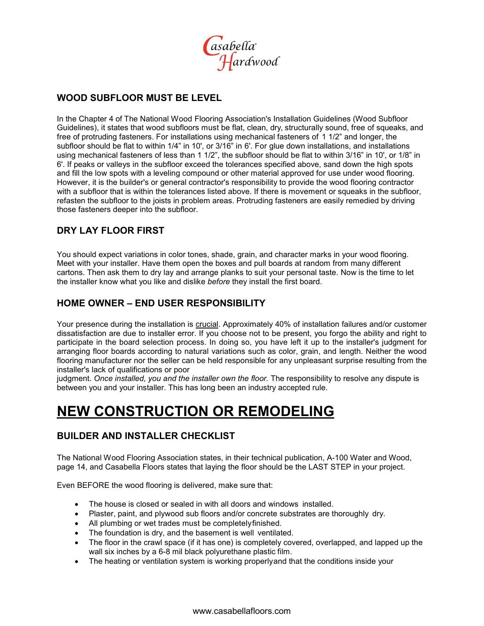

## **WOOD SUBFLOOR MUST BE LEVEL**

In the Chapter 4 of The National Wood Flooring Association's Installation Guidelines (Wood Subfloor Guidelines), it states that wood subfloors must be flat, clean, dry, structurally sound, free of squeaks, and free of protruding fasteners. For installations using mechanical fasteners of 1 1/2" and longer, the subfloor should be flat to within 1/4" in 10', or 3/16" in 6'. For glue down installations, and installations using mechanical fasteners of less than 1 1/2", the subfloor should be flat to within 3/16" in 10', or 1/8" in 6'. If peaks or valleys in the subfloor exceed the tolerances specified above, sand down the high spots and fill the low spots with a leveling compound or other material approved for use under wood flooring. However, it is the builder's or general contractor's responsibility to provide the wood flooring contractor with a subfloor that is within the tolerances listed above. If there is movement or squeaks in the subfloor, refasten the subfloor to the joists in problem areas. Protruding fasteners are easily remedied by driving those fasteners deeper into the subfloor.

## **DRY LAY FLOOR FIRST**

You should expect variations in color tones, shade, grain, and character marks in your wood flooring. Meet with your installer. Have them open the boxes and pull boards at random from many different cartons. Then ask them to dry lay and arrange planks to suit your personal taste. Now is the time to let the installer know what you like and dislike *before* they install the first board.

## **HOME OWNER – END USER RESPONSIBILITY**

Your presence during the installation is crucial. Approximately 40% of installation failures and/or customer dissatisfaction are due to installer error. If you choose not to be present, you forgo the ability and right to participate in the board selection process. In doing so, you have left it up to the installer's judgment for arranging floor boards according to natural variations such as color, grain, and length. Neither the wood flooring manufacturer nor the seller can be held responsible for any unpleasant surprise resulting from the installer's lack of qualifications or poor

judgment. *Once installed, you and the installer own the floor*. The responsibility to resolve any dispute is between you and your installer. This has long been an industry accepted rule.

## **NEW CONSTRUCTION OR REMODELING**

### **BUILDER AND INSTALLER CHECKLIST**

The National Wood Flooring Association states, in their technical publication, A-100 Water and Wood, page 14, and Casabella Floors states that laying the floor should be the LAST STEP in your project.

Even BEFORE the wood flooring is delivered, make sure that:

- The house is closed or sealed in with all doors and windows installed.
- Plaster, paint, and plywood sub floors and/or concrete substrates are thoroughly dry.
- All plumbing or wet trades must be completely finished.
- The foundation is dry, and the basement is well ventilated.
- The floor in the crawl space (if it has one) is completely covered, overlapped, and lapped up the wall six inches by a 6-8 mil black polyurethane plastic film.
- The heating or ventilation system is working properlyand that the conditions inside your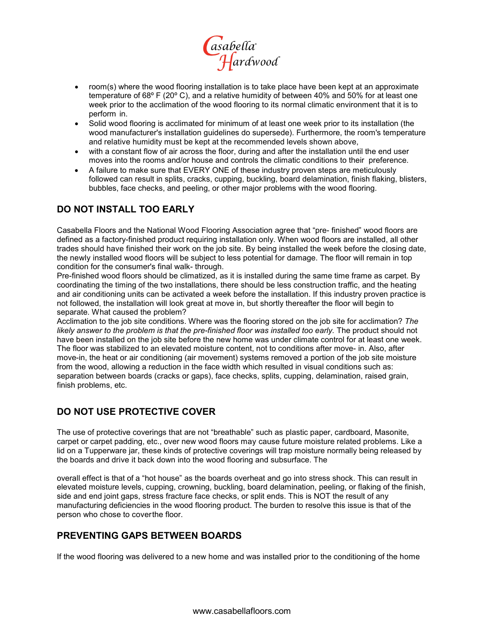

- room(s) where the wood flooring installation is to take place have been kept at an approximate temperature of 68º F (20º C), and a relative humidity of between 40% and 50% for at least one week prior to the acclimation of the wood flooring to its normal climatic environment that it is to perform in.
- Solid wood flooring is acclimated for minimum of at least one week prior to its installation (the wood manufacturer's installation guidelines do supersede). Furthermore, the room's temperature and relative humidity must be kept at the recommended levels shown above,
- with a constant flow of air across the floor, during and after the installation until the end user moves into the rooms and/or house and controls the climatic conditions to their preference.
- A failure to make sure that EVERY ONE of these industry proven steps are meticulously followed can result in splits, cracks, cupping, buckling, board delamination, finish flaking, blisters, bubbles, face checks, and peeling, or other major problems with the wood flooring.

## **DO NOT INSTALL TOO EARLY**

Casabella Floors and the National Wood Flooring Association agree that "pre- finished" wood floors are defined as a factory-finished product requiring installation only. When wood floors are installed, all other trades should have finished their work on the job site. By being installed the week before the closing date, the newly installed wood floors will be subject to less potential for damage. The floor will remain in top condition for the consumer's final walk- through.

Pre-finished wood floors should be climatized, as it is installed during the same time frame as carpet. By coordinating the timing of the two installations, there should be less construction traffic, and the heating and air conditioning units can be activated a week before the installation. If this industry proven practice is not followed, the installation will look great at move in, but shortly thereafter the floor will begin to separate. What caused the problem?

Acclimation to the job site conditions. Where was the flooring stored on the job site for acclimation? *The*  likely answer to the problem is that the pre-finished floor was installed too early. The product should not have been installed on the job site before the new home was under climate control for at least one week. The floor was stabilized to an elevated moisture content, not to conditions after move- in. Also, after move-in, the heat or air conditioning (air movement) systems removed a portion of the job site moisture from the wood, allowing a reduction in the face width which resulted in visual conditions such as: separation between boards (cracks or gaps), face checks, splits, cupping, delamination, raised grain, finish problems, etc.

### **DO NOT USE PROTECTIVE COVER**

The use of protective coverings that are not "breathable" such as plastic paper, cardboard, Masonite, carpet or carpet padding, etc., over new wood floors may cause future moisture related problems. Like a lid on a Tupperware jar, these kinds of protective coverings will trap moisture normally being released by the boards and drive it back down into the wood flooring and subsurface. The

overall effect is that of a "hot house" as the boards overheat and go into stress shock. This can result in elevated moisture levels, cupping, crowning, buckling, board delamination, peeling, or flaking of the finish, side and end joint gaps, stress fracture face checks, or split ends. This is NOT the result of any manufacturing deficiencies in the wood flooring product. The burden to resolve this issue is that of the person who chose to coverthe floor.

### **PREVENTING GAPS BETWEEN BOARDS**

If the wood flooring was delivered to a new home and was installed prior to the conditioning of the home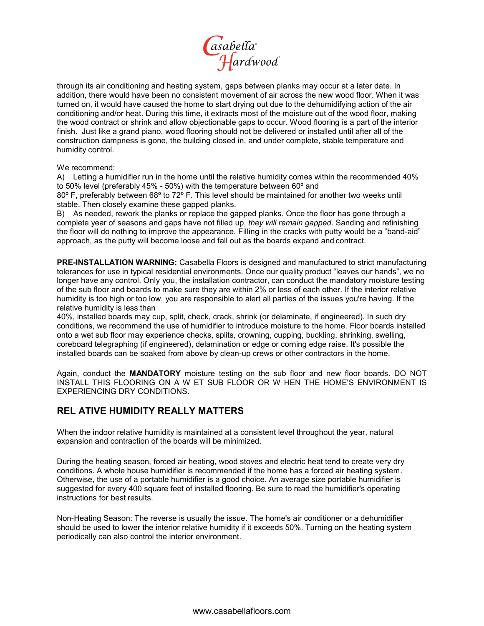

through its air conditioning and heating system, gaps between planks may occur at a later date. In addition, there would have been no consistent movement of air across the new wood floor. When it was turned on, it would have caused the home to start drying out due to the dehumidifying action of the air conditioning and/or heat. During this time, it extracts most of the moisture out of the wood floor, making the wood contract or shrink and allow objectionable gaps to occur. Wood flooring is a part of the interior finish. Just like a grand piano, wood flooring should not be delivered or installed until after all of the construction dampness is gone, the building closed in, and under complete, stable temperature and humidity control.

We recommend:

A) Letting a humidifier run in the home until the relative humidity comes within the recommended 40% to 50% level (preferably 45% - 50%) with the temperature between 60º and

80º F, preferably between 68º to 72º F. This level should be maintained for another two weeks until stable. Then closely examine these gapped planks.

B) As needed, rework the planks or replace the gapped planks. Once the floor has gone through a complete year of seasons and gaps have not filled up, *they will remain gapped*. Sanding and refinishing the floor will do nothing to improve the appearance. Filling in the cracks with putty would be a "band-aid" approach, as the putty will become loose and fall out as the boards expand and contract.

**PRE-INSTALLATION WARNING:** Casabella Floors is designed and manufactured to strict manufacturing tolerances for use in typical residential environments. Once our quality product "leaves our hands", we no longer have any control. Only you, the installation contractor, can conduct the mandatory moisture testing of the sub floor and boards to make sure they are within 2% or less of each other. If the interior relative humidity is too high or too low, you are responsible to alert all parties of the issues you're having. If the relative humidity is less than

40%, installed boards may cup, split, check, crack, shrink (or delaminate, if engineered). In such dry conditions, we recommend the use of humidifier to introduce moisture to the home. Floor boards installed onto a wet sub floor may experience checks, splits, crowning, cupping, buckling, shrinking, swelling, coreboard telegraphing (if engineered), delamination or edge or corning edge raise. It's possible the installed boards can be soaked from above by clean-up crews or other contractors in the home.

Again, conduct the **MANDATORY** moisture testing on the sub floor and new floor boards. DO NOT INSTALL THIS FLOORING ON A W ET SUB FLOOR OR W HEN THE HOME'S ENVIRONMENT IS EXPERIENCING DRY CONDITIONS.

### **REL ATIVE HUMIDITY REALLY MATTERS**

When the indoor relative humidity is maintained at a consistent level throughout the year, natural expansion and contraction of the boards will be minimized.

During the heating season, forced air heating, wood stoves and electric heat tend to create very dry conditions. A whole house humidifier is recommended if the home has a forced air heating system. Otherwise, the use of a portable humidifier is a good choice. An average size portable humidifier is suggested for every 400 square feet of installed flooring. Be sure to read the humidifier's operating instructions for best results.

Non-Heating Season: The reverse is usually the issue. The home's air conditioner or a dehumidifier should be used to lower the interior relative humidity if it exceeds 50%. Turning on the heating system periodically can also control the interior environment.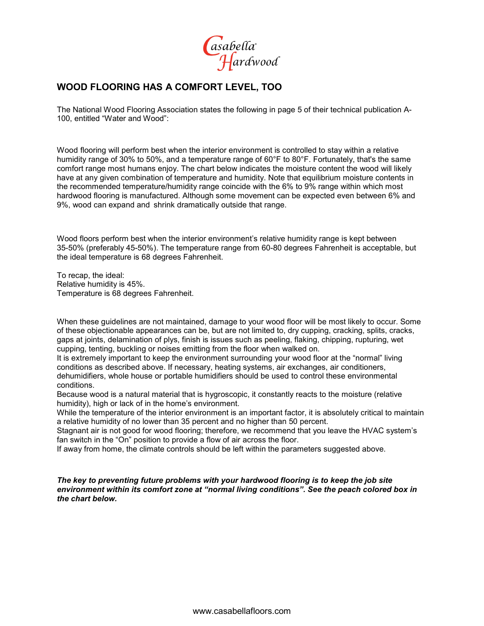asabella<br>Hardwood

## **WOOD FLOORING HAS A COMFORT LEVEL, TOO**

The National Wood Flooring Association states the following in page 5 of their technical publication A-100, entitled "Water and Wood":

Wood flooring will perform best when the interior environment is controlled to stay within a relative humidity range of 30% to 50%, and a temperature range of 60°F to 80°F. Fortunately, that's the same comfort range most humans enjoy. The chart below indicates the moisture content the wood will likely have at any given combination of temperature and humidity. Note that equilibrium moisture contents in the recommended temperature/humidity range coincide with the 6% to 9% range within which most hardwood flooring is manufactured. Although some movement can be expected even between 6% and 9%, wood can expand and shrink dramatically outside that range.

Wood floors perform best when the interior environment's relative humidity range is kept between 35-50% (preferably 45-50%). The temperature range from 60-80 degrees Fahrenheit is acceptable, but the ideal temperature is 68 degrees Fahrenheit.

To recap, the ideal: Relative humidity is 45%. Temperature is 68 degrees Fahrenheit.

When these guidelines are not maintained, damage to your wood floor will be most likely to occur. Some of these objectionable appearances can be, but are not limited to, dry cupping, cracking, splits, cracks, gaps at joints, delamination of plys, finish is issues such as peeling, flaking, chipping, rupturing, wet cupping, tenting, buckling or noises emitting from the floor when walked on.

It is extremely important to keep the environment surrounding your wood floor at the "normal" living conditions as described above. If necessary, heating systems, air exchanges, air conditioners, dehumidifiers, whole house or portable humidifiers should be used to control these environmental conditions.

Because wood is a natural material that is hygroscopic, it constantly reacts to the moisture (relative humidity), high or lack of in the home's environment.

While the temperature of the interior environment is an important factor, it is absolutely critical to maintain a relative humidity of no lower than 35 percent and no higher than 50 percent.

Stagnant air is not good for wood flooring; therefore, we recommend that you leave the HVAC system's fan switch in the "On" position to provide a flow of air across the floor.

If away from home, the climate controls should be left within the parameters suggested above.

*The key to preventing future problems with your hardwood flooring is to keep the job site environment within its comfort zone at "normal living conditions". See the peach colored box in the chart below.*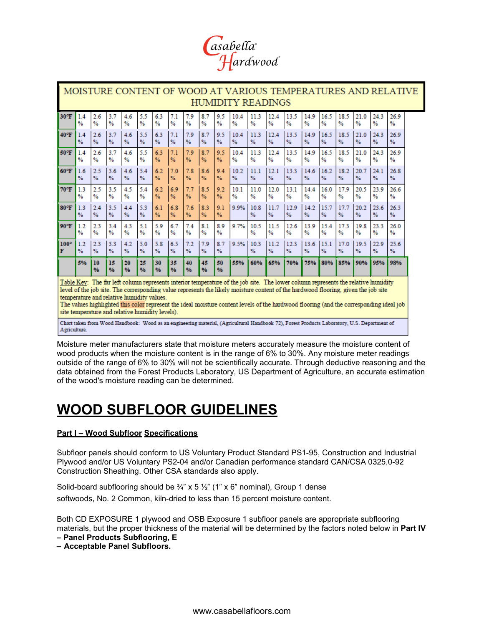

| MOISTURE CONTENT OF WOOD AT VARIOUS TEMPERATURES AND RELATIVE<br><b>HUMIDITY READINGS</b> |                                                                                                                                                                                                                                                                                                                                                                                                                                                                                                                                                                                                                                                                                   |                      |                      |           |                      |          |               |           |                     |                         |               |                       |           |                       |           |           |           |           |                       |                       |
|-------------------------------------------------------------------------------------------|-----------------------------------------------------------------------------------------------------------------------------------------------------------------------------------------------------------------------------------------------------------------------------------------------------------------------------------------------------------------------------------------------------------------------------------------------------------------------------------------------------------------------------------------------------------------------------------------------------------------------------------------------------------------------------------|----------------------|----------------------|-----------|----------------------|----------|---------------|-----------|---------------------|-------------------------|---------------|-----------------------|-----------|-----------------------|-----------|-----------|-----------|-----------|-----------------------|-----------------------|
| 30°F                                                                                      | 14                                                                                                                                                                                                                                                                                                                                                                                                                                                                                                                                                                                                                                                                                | 2.6                  | 3.7                  | 4.6       | 5.5                  | 6.3      | 7.1           | 7.9       | 8.7                 | 9.5                     | 104           | 11.3                  | 12.4      | 13.5                  | 14.9      | 16.5      | 18.5      | 21.0      | 24.3                  | 26.9                  |
|                                                                                           | %                                                                                                                                                                                                                                                                                                                                                                                                                                                                                                                                                                                                                                                                                 | %                    | %                    | %         | $\frac{9}{6}$        | %        | %             | %         | %                   | %                       | %             | %                     | %         | %                     | %         | %         | %         | %         | $\frac{9}{6}$         | $\frac{9}{6}$         |
| 40°F                                                                                      | 14                                                                                                                                                                                                                                                                                                                                                                                                                                                                                                                                                                                                                                                                                | 2.6                  | 3.7                  | 4.6       | 5.5                  | 6.3      | 7.1           | 7.9       | 8.7                 | 9.5                     | 10.4          | 11.3                  | 12.4      | 13.5                  | 14.9      | 16.5      | 18.5      | 21.0      | 24.3                  | 26.9                  |
|                                                                                           | %                                                                                                                                                                                                                                                                                                                                                                                                                                                                                                                                                                                                                                                                                 | $\frac{9}{6}$        | %                    | %         | $\frac{9}{6}$        | %        | %             | %         | %                   | %                       | $\frac{9}{6}$ | $\frac{9}{6}$         | %         | $\frac{9}{6}$         | %         | %         | %         | %         | $\frac{9}{6}$         | %                     |
| 50°F                                                                                      | 14                                                                                                                                                                                                                                                                                                                                                                                                                                                                                                                                                                                                                                                                                | 2.6                  | 3.7                  | 4.6       | 5.5                  | 6.3      | 7.1           | 7.9       | 8.7                 | 9.5                     | 10.4          | 11.3                  | 12.4      | 13.5                  | 14.9      | 16.5      | 18.5      | 21.0      | 24.3                  | 26.9                  |
|                                                                                           | %                                                                                                                                                                                                                                                                                                                                                                                                                                                                                                                                                                                                                                                                                 | %                    | %                    | %         | %                    | %        | %             | %         | $\frac{9}{6}$       | %                       | $\frac{9}{6}$ | $\%$                  | %         | $\frac{9}{6}$         | %         | %         | %         | %         | 9/6                   | %                     |
| 60°F                                                                                      | 1.6                                                                                                                                                                                                                                                                                                                                                                                                                                                                                                                                                                                                                                                                               | 2.5                  | 3.6                  | 4.6       | 5.4                  | 6.2      | 7.0           | 7.8       | 8.6                 | 9.4                     | 10.2          | 11.1                  | 12.1      | 13.3                  | 14.6      | 16.2      | 18.2      | 20.7      | 24.1                  | 26.8                  |
|                                                                                           | $\frac{9}{6}$                                                                                                                                                                                                                                                                                                                                                                                                                                                                                                                                                                                                                                                                     | %                    | %                    | %         | $\frac{9}{6}$        | %        | %             | %         | $\frac{9}{6}$       | $\frac{9}{6}$           | $\frac{9}{6}$ | $\frac{9}{6}$         | %         | $\frac{9}{6}$         | %         | %         | %         | %         | $\frac{9}{6}$         | $\frac{9}{6}$         |
| $70^{\circ}$ F                                                                            | 1.3                                                                                                                                                                                                                                                                                                                                                                                                                                                                                                                                                                                                                                                                               | 2.5                  | 3.5                  | 4.5       | 5.4                  | 6.2      | 6.9           | 7.7       | 8.5                 | 9.2                     | 10.1          | 11.0                  | 12.0      | 13.1                  | 14.4      | 16.0      | 17.9      | 20.5      | 23.9                  | 26.6                  |
|                                                                                           | %                                                                                                                                                                                                                                                                                                                                                                                                                                                                                                                                                                                                                                                                                 | %                    | %                    | %         | %                    | %        | %             | %         | %                   | %                       | $\frac{9}{6}$ | %                     | %         | $\frac{9}{6}$         | %         | %         | %         | %         | $\frac{9}{6}$         | %                     |
| $80^{\circ}$ F                                                                            | 13<br>%                                                                                                                                                                                                                                                                                                                                                                                                                                                                                                                                                                                                                                                                           | 2.4<br>$\frac{9}{6}$ | 3.5<br>$\frac{9}{6}$ | 4.4<br>%  | 5.3<br>$\frac{9}{6}$ | 6.1<br>% | 6.8<br>$\%$   | 7.6<br>%  | 8.3<br>9/6          | 9.1<br>%                | 9.9%          | 10.8<br>%             | 11.7<br>% | 12.9<br>$\frac{9}{6}$ | 14.2<br>% | 15.7<br>% | 17.7<br>% | 20.2<br>% | 23.6<br>$\frac{9}{6}$ | 263<br>%              |
| 90°F                                                                                      | 1.2<br>$\%$                                                                                                                                                                                                                                                                                                                                                                                                                                                                                                                                                                                                                                                                       | 2.3<br>%             | 3.4<br>%             | 4.3<br>%  | 5.1<br>$\frac{9}{6}$ | 5.9<br>% | 6.7<br>%      | 74<br>%   | 8 <sub>1</sub><br>% | 8.9<br>%                | 9.7%          | 10.5<br>$\frac{9}{6}$ | 11.5<br>% | 12.6<br>%             | 13.9<br>% | 15.4<br>% | 17.3<br>% | 19.8<br>% | 23.3<br>$\frac{9}{6}$ | 26.0<br>$\frac{9}{6}$ |
| $100^\circ$                                                                               | 1.2                                                                                                                                                                                                                                                                                                                                                                                                                                                                                                                                                                                                                                                                               | 2.3                  | 3.3                  | 4.2       | 5.0                  | 5.8      | 6.5           | 7.2       | 7.9                 | 8.7                     | 9.5%          | 10.3                  | 11.2      | 12.3                  | 13.6      | 15.1      | 17.0      | 19.5      | 22.9                  | 25.6                  |
| F                                                                                         | $\frac{9}{6}$                                                                                                                                                                                                                                                                                                                                                                                                                                                                                                                                                                                                                                                                     | $\frac{9}{6}$        | $\frac{9}{6}$        | %         | $\frac{9}{6}$        | %        | $\frac{9}{6}$ | %         | $\frac{9}{6}$       | %                       |               | %                     | %         | $\frac{9}{6}$         | %         | %         | %         | %         | $\frac{9}{6}$         | %                     |
|                                                                                           | 5%                                                                                                                                                                                                                                                                                                                                                                                                                                                                                                                                                                                                                                                                                | 10<br>0/6            | 15<br>96             | 20<br>9/6 | 25<br>0/6            | 30<br>96 | 35<br>9/6     | 40<br>0/6 | 45<br>0/6           | 50<br>$\mathbf{0}/_{0}$ | 55%           | 60%                   | 65%       | 70%                   | 75%       | 80%       | 85%       | 90%       | 95%                   | 98%                   |
|                                                                                           | Table Key: The far left column represents interior temperature of the job site. The lower column represents the relative humidity<br>level of the job site. The corresponding value represents the likely moisture content of the hardwood flooring, given the job site<br>temperature and relative humidity values.<br>The values highlighted this color represent the ideal moisture content levels of the hardwood flooring (and the corresponding ideal job<br>site temperature and relative humidity levels).<br>Chart taken from Wood Handbook: Wood as an engineering material, (Agricultural Handbook 72), Forest Products Laboratory, U.S. Department of<br>Agriculture. |                      |                      |           |                      |          |               |           |                     |                         |               |                       |           |                       |           |           |           |           |                       |                       |

Moisture meter manufacturers state that moisture meters accurately measure the moisture content of wood products when the moisture content is in the range of 6% to 30%. Any moisture meter readings outside of the range of 6% to 30% will not be scientifically accurate. Through deductive reasoning and the data obtained from the Forest Products Laboratory, US Department of Agriculture, an accurate estimation of the wood's moisture reading can be determined.

## **WOOD SUBFLOOR GUIDELINES**

### **Part I – Wood Subfloor Specifications**

Subfloor panels should conform to US Voluntary Product Standard PS1-95, Construction and Industrial Plywood and/or US Voluntary PS2-04 and/or Canadian performance standard CAN/CSA 0325.0-92 Construction Sheathing. Other CSA standards also apply.

Solid-board subflooring should be  $\frac{3}{4}$ " x 5  $\frac{1}{2}$ " (1" x 6" nominal), Group 1 dense softwoods, No. 2 Common, kiln-dried to less than 15 percent moisture content.

Both CD EXPOSURE 1 plywood and OSB Exposure 1 subfloor panels are appropriate subflooring materials, but the proper thickness of the material will be determined by the factors noted below in **Part IV** 

**– Panel Products Subflooring, E**

**– Acceptable Panel Subfloors.**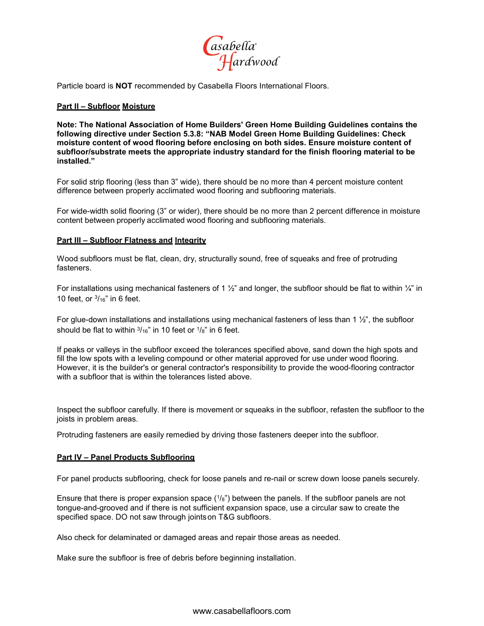

Particle board is **NOT** recommended by Casabella Floors International Floors.

#### **Part II – Subfloor Moisture**

**Note: The National Association of Home Builders' Green Home Building Guidelines contains the following directive under Section 5.3.8: "NAB Model Green Home Building Guidelines: Check moisture content of wood flooring before enclosing on both sides. Ensure moisture content of subfloor/substrate meets the appropriate industry standard for the finish flooring material to be installed."**

For solid strip flooring (less than 3" wide), there should be no more than 4 percent moisture content difference between properly acclimated wood flooring and subflooring materials.

For wide-width solid flooring (3" or wider), there should be no more than 2 percent difference in moisture content between properly acclimated wood flooring and subflooring materials.

#### **Part III – Subfloor Flatness and Integrity**

Wood subfloors must be flat, clean, dry, structurally sound, free of squeaks and free of protruding fasteners.

For installations using mechanical fasteners of 1  $\frac{1}{2}$ " and longer, the subfloor should be flat to within  $\frac{1}{4}$ " in 10 feet, or  $\frac{3}{16}$ " in 6 feet.

For glue-down installations and installations using mechanical fasteners of less than 1  $\frac{1}{2}$ ", the subfloor should be flat to within  $\frac{3}{16}$ " in 10 feet or  $\frac{1}{8}$ " in 6 feet.

If peaks or valleys in the subfloor exceed the tolerances specified above, sand down the high spots and fill the low spots with a leveling compound or other material approved for use under wood flooring. However, it is the builder's or general contractor's responsibility to provide the wood-flooring contractor with a subfloor that is within the tolerances listed above

Inspect the subfloor carefully. If there is movement or squeaks in the subfloor, refasten the subfloor to the joists in problem areas.

Protruding fasteners are easily remedied by driving those fasteners deeper into the subfloor.

#### **Part IV – Panel Products Subflooring**

For panel products subflooring, check for loose panels and re-nail or screw down loose panels securely.

Ensure that there is proper expansion space  $(1/8)$ " between the panels. If the subfloor panels are not tongue-and-grooved and if there is not sufficient expansion space, use a circular saw to create the specified space. DO not saw through jointson T&G subfloors.

Also check for delaminated or damaged areas and repair those areas as needed.

Make sure the subfloor is free of debris before beginning installation.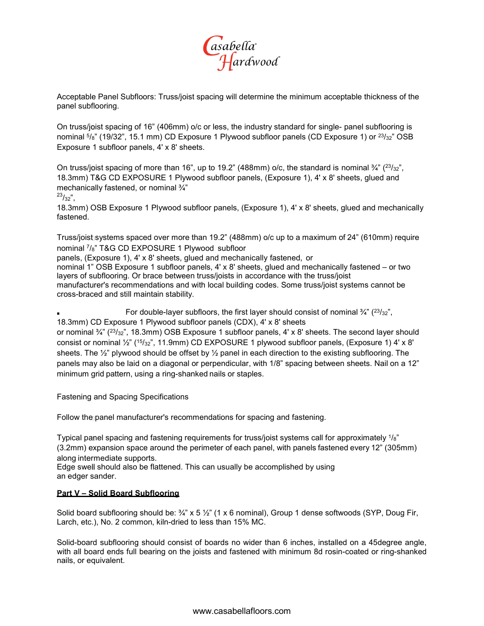

Acceptable Panel Subfloors: Truss/joist spacing will determine the minimum acceptable thickness of the panel subflooring.

On truss/joist spacing of 16" (406mm) o/c or less, the industry standard for single- panel subflooring is nominal  $5/8$ " (19/32", 15.1 mm) CD Exposure 1 Plywood subfloor panels (CD Exposure 1) or  $23/32$ " OSB Exposure 1 subfloor panels, 4' x 8' sheets.

On truss/joist spacing of more than 16", up to 19.2" (488mm) o/c, the standard is nominal  $\frac{3}{4}$ " ( $\frac{23}{32}$ ", 18.3mm) T&G CD EXPOSURE 1 Plywood subfloor panels, (Exposure 1), 4' x 8' sheets, glued and mechanically fastened, or nominal ¾"

 $^{23}/_{32}$ ",

18.3mm) OSB Exposure 1 Plywood subfloor panels, (Exposure 1), 4' x 8' sheets, glued and mechanically fastened.

Truss/joist systems spaced over more than 19.2" (488mm) o/c up to a maximum of 24" (610mm) require nominal 7/8" T&G CD EXPOSURE 1 Plywood subfloor

panels, (Exposure 1), 4' x 8' sheets, glued and mechanically fastened, or

nominal 1" OSB Exposure 1 subfloor panels, 4' x 8' sheets, glued and mechanically fastened – or two layers of subflooring. Or brace between truss/joists in accordance with the truss/joist manufacturer's recommendations and with local building codes. Some truss/joist systems cannot be cross-braced and still maintain stability.

For double-layer subfloors, the first layer should consist of nominal  $\frac{3}{4}$ " ( $\frac{23}{32}$ ", 18.3mm) CD Exposure 1 Plywood subfloor panels (CDX), 4' x 8' sheets

or nominal  $\frac{3}{4}$ " ( $\frac{23}{32}$ ", 18.3mm) OSB Exposure 1 subfloor panels, 4' x 8' sheets. The second layer should consist or nominal ½" (15/32", 11.9mm) CD EXPOSURE 1 plywood subfloor panels, (Exposure 1) 4' x 8' sheets. The  $\frac{1}{2}$ " plywood should be offset by  $\frac{1}{2}$  panel in each direction to the existing subflooring. The panels may also be laid on a diagonal or perpendicular, with 1/8" spacing between sheets. Nail on a 12" minimum grid pattern, using a ring-shanked nails or staples.

Fastening and Spacing Specifications

Follow the panel manufacturer's recommendations for spacing and fastening.

Typical panel spacing and fastening requirements for truss/joist systems call for approximately 1/8" (3.2mm) expansion space around the perimeter of each panel, with panels fastened every 12" (305mm) along intermediate supports.

Edge swell should also be flattened. This can usually be accomplished by using an edger sander.

#### **Part V – Solid Board Subflooring**

Solid board subflooring should be:  $\frac{3}{4}$ " x 5  $\frac{1}{2}$ " (1 x 6 nominal), Group 1 dense softwoods (SYP, Doug Fir, Larch, etc.), No. 2 common, kiln-dried to less than 15% MC.

Solid-board subflooring should consist of boards no wider than 6 inches, installed on a 45degree angle, with all board ends full bearing on the joists and fastened with minimum 8d rosin-coated or ring-shanked nails, or equivalent.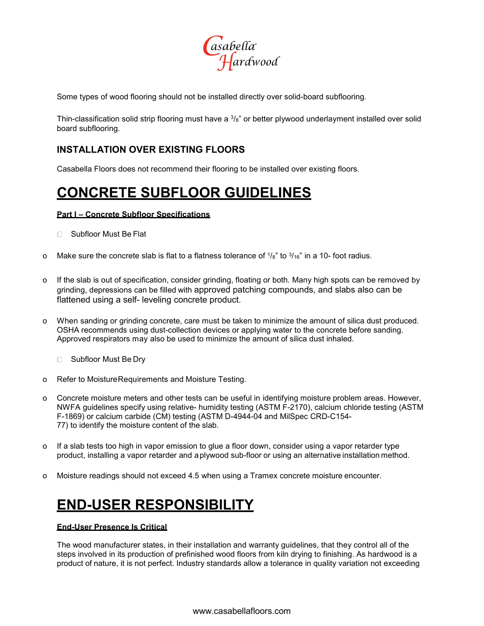

Some types of wood flooring should not be installed directly over solid-board subflooring.

Thin-classification solid strip flooring must have a  $\frac{3}{8}$ " or better plywood underlayment installed over solid board subflooring.

## **INSTALLATION OVER EXISTING FLOORS**

Casabella Floors does not recommend their flooring to be installed over existing floors.

## **CONCRETE SUBFLOOR GUIDELINES**

#### **Part I – Concrete Subfloor Specifications**

- □ Subfloor Must Be Flat
- o Make sure the concrete slab is flat to a flatness tolerance of  $1/8$ " to  $3/16$ " in a 10- foot radius.
- o If the slab is out of specification, consider grinding, floating or both. Many high spots can be removed by grinding, depressions can be filled with approved patching compounds, and slabs also can be flattened using a self- leveling concrete product.
- o When sanding or grinding concrete, care must be taken to minimize the amount of silica dust produced. OSHA recommends using dust-collection devices or applying water to the concrete before sanding. Approved respirators may also be used to minimize the amount of silica dust inhaled.
	- □ Subfloor Must Be Dry
- o Refer to MoistureRequirements and Moisture Testing.
- Concrete moisture meters and other tests can be useful in identifying moisture problem areas. However, NWFA guidelines specify using relative- humidity testing (ASTM F-2170), calcium chloride testing (ASTM F-1869) or calcium carbide (CM) testing (ASTM D-4944-04 and MilSpec CRD-C154- 77) to identify the moisture content of the slab.
- o If a slab tests too high in vapor emission to glue a floor down, consider using a vapor retarder type product, installing a vapor retarder and aplywood sub-floor or using an alternative installation method.
- o Moisture readings should not exceed 4.5 when using a Tramex concrete moisture encounter.

## **END-USER RESPONSIBILITY**

#### **End-User Presence Is Critical**

The wood manufacturer states, in their installation and warranty guidelines, that they control all of the steps involved in its production of prefinished wood floors from kiln drying to finishing. As hardwood is a product of nature, it is not perfect. Industry standards allow a tolerance in quality variation not exceeding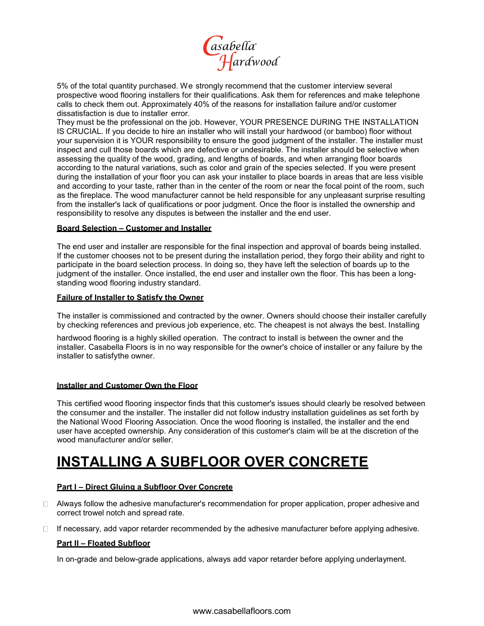

5% of the total quantity purchased. We strongly recommend that the customer interview several prospective wood flooring installers for their qualifications. Ask them for references and make telephone calls to check them out. Approximately 40% of the reasons for installation failure and/or customer dissatisfaction is due to installer error.

They must be the professional on the job. However, YOUR PRESENCE DURING THE INSTALLATION IS CRUCIAL. If you decide to hire an installer who will install your hardwood (or bamboo) floor without your supervision it is YOUR responsibility to ensure the good judgment of the installer. The installer must inspect and cull those boards which are defective or undesirable. The installer should be selective when assessing the quality of the wood, grading, and lengths of boards, and when arranging floor boards according to the natural variations, such as color and grain of the species selected. If you were present during the installation of your floor you can ask your installer to place boards in areas that are less visible and according to your taste, rather than in the center of the room or near the focal point of the room, such as the fireplace. The wood manufacturer cannot be held responsible for any unpleasant surprise resulting from the installer's lack of qualifications or poor judgment. Once the floor is installed the ownership and responsibility to resolve any disputes is between the installer and the end user.

#### **Board Selection – Customer and Installer**

The end user and installer are responsible for the final inspection and approval of boards being installed. If the customer chooses not to be present during the installation period, they forgo their ability and right to participate in the board selection process. In doing so, they have left the selection of boards up to the judgment of the installer. Once installed, the end user and installer own the floor. This has been a longstanding wood flooring industry standard.

#### **Failure of Installer to Satisfy the Owner**

The installer is commissioned and contracted by the owner. Owners should choose their installer carefully by checking references and previous job experience, etc. The cheapest is not always the best. Installing

hardwood flooring is a highly skilled operation. The contract to install is between the owner and the installer. Casabella Floors is in no way responsible for the owner's choice of installer or any failure by the installer to satisfythe owner.

#### **Installer and Customer Own the Floor**

This certified wood flooring inspector finds that this customer's issues should clearly be resolved between the consumer and the installer. The installer did not follow industry installation guidelines as set forth by the National Wood Flooring Association. Once the wood flooring is installed, the installer and the end user have accepted ownership. Any consideration of this customer's claim will be at the discretion of the wood manufacturer and/or seller.

## **INSTALLING A SUBFLOOR OVER CONCRETE**

#### **Part I – Direct Gluing a Subfloor Over Concrete**

- $\Box$  Always follow the adhesive manufacturer's recommendation for proper application, proper adhesive and correct trowel notch and spread rate.
- $\Box$  If necessary, add vapor retarder recommended by the adhesive manufacturer before applying adhesive.

#### **Part II – Floated Subfloor**

In on-grade and below-grade applications, always add vapor retarder before applying underlayment.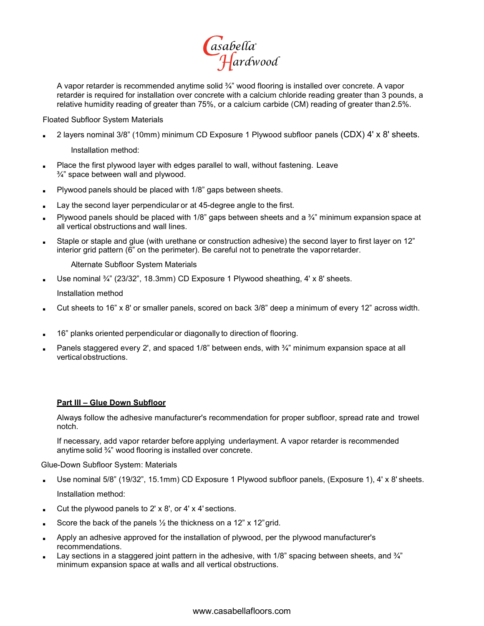

A vapor retarder is recommended anytime solid ¾" wood flooring is installed over concrete. A vapor retarder is required for installation over concrete with a calcium chloride reading greater than 3 pounds, a relative humidity reading of greater than 75%, or a calcium carbide (CM) reading of greater than2.5%.

Floated Subfloor System Materials

2 layers nominal 3/8" (10mm) minimum CD Exposure 1 Plywood subfloor panels (CDX) 4' x 8' sheets.

Installation method:

- Place the first plywood layer with edges parallel to wall, without fastening. Leave ¾" space between wall and plywood.
- Plywood panels should be placed with 1/8" gaps between sheets.
- Lay the second layer perpendicular or at 45-degree angle to the first.
- Plywood panels should be placed with 1/8" gaps between sheets and a  $\frac{3}{4}$ " minimum expansion space at all vertical obstructions and wall lines.
- Staple or staple and glue (with urethane or construction adhesive) the second layer to first layer on 12" interior grid pattern (6" on the perimeter). Be careful not to penetrate the vaporretarder.

Alternate Subfloor System Materials

Use nominal  $\frac{3}{4}$ " (23/32", 18.3mm) CD Exposure 1 Plywood sheathing, 4' x 8' sheets.

Installation method

- Cut sheets to 16" x 8' or smaller panels, scored on back  $3/8$ " deep a minimum of every 12" across width.
- 16" planks oriented perpendicular or diagonally to direction of flooring.
- Panels staggered every 2', and spaced 1/8" between ends, with  $\frac{3}{4}$ " minimum expansion space at all vertical obstructions.

#### **Part III – Glue Down Subfloor**

Always follow the adhesive manufacturer's recommendation for proper subfloor, spread rate and trowel notch.

If necessary, add vapor retarder before applying underlayment. A vapor retarder is recommended anytime solid ¾" wood flooring is installed over concrete.

Glue-Down Subfloor System: Materials

- Use nominal 5/8" (19/32", 15.1mm) CD Exposure 1 Plywood subfloor panels, (Exposure 1), 4' x 8' sheets. Installation method:
- Cut the plywood panels to  $2' \times 8'$ , or  $4' \times 4'$  sections.
- Score the back of the panels  $\frac{1}{2}$  the thickness on a 12" x 12" grid.
- Apply an adhesive approved for the installation of plywood, per the plywood manufacturer's recommendations.
- Lay sections in a staggered joint pattern in the adhesive, with 1/8" spacing between sheets, and  $\frac{3}{4}$ " minimum expansion space at walls and all vertical obstructions.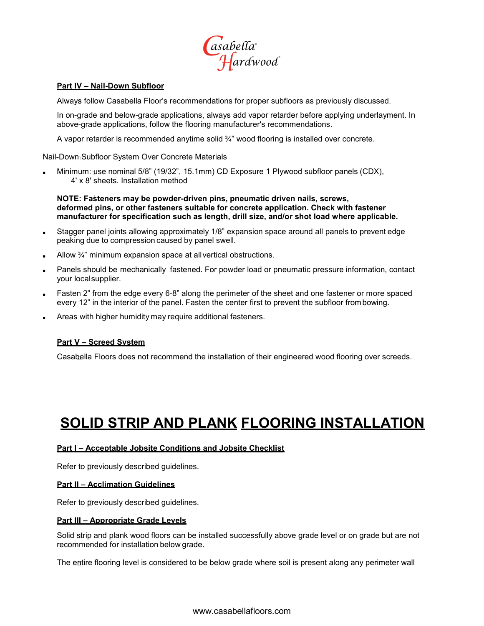

#### **Part IV – Nail-Down Subfloor**

Always follow Casabella Floor's recommendations for proper subfloors as previously discussed.

In on-grade and below-grade applications, always add vapor retarder before applying underlayment. In above-grade applications, follow the flooring manufacturer's recommendations.

A vapor retarder is recommended anytime solid ¾" wood flooring is installed over concrete.

Nail-Down Subfloor System Over Concrete Materials

Minimum: use nominal 5/8" (19/32", 15.1mm) CD Exposure 1 Plywood subfloor panels (CDX), 4' x 8' sheets. Installation method

**NOTE: Fasteners may be powder-driven pins, pneumatic driven nails, screws, deformed pins, or other fasteners suitable for concrete application. Check with fastener manufacturer for specification such as length, drill size, and/or shot load where applicable.**

- Stagger panel joints allowing approximately 1/8" expansion space around all panels to prevent edge peaking due to compression caused by panel swell.
- Allow  $\frac{3}{4}$ " minimum expansion space at all vertical obstructions.
- Panels should be mechanically fastened. For powder load or pneumatic pressure information, contact your localsupplier.
- Fasten 2" from the edge every 6-8" along the perimeter of the sheet and one fastener or more spaced every 12" in the interior of the panel. Fasten the center first to prevent the subfloor from bowing.
- Areas with higher humidity may require additional fasteners.

#### **Part V – Screed System**

Casabella Floors does not recommend the installation of their engineered wood flooring over screeds.

## **SOLID STRIP AND PLANK FLOORING INSTALLATION**

#### **Part I – Acceptable Jobsite Conditions and Jobsite Checklist**

Refer to previously described guidelines.

#### **Part II – Acclimation Guidelines**

Refer to previously described guidelines.

#### **Part III – Appropriate Grade Levels**

Solid strip and plank wood floors can be installed successfully above grade level or on grade but are not recommended for installation below grade.

The entire flooring level is considered to be below grade where soil is present along any perimeter wall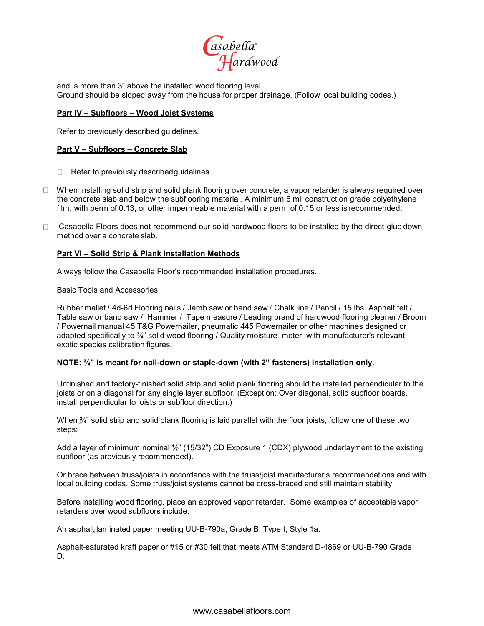

and is more than 3" above the installed wood flooring level. Ground should be sloped away from the house for proper drainage. (Follow local building codes.)

#### **Part IV – Subfloors – Wood Joist Systems**

Refer to previously described guidelines.

#### **Part V – Subfloors – Concrete Slab**

- $\Box$  Refer to previously described quidelines.
- $\Box$  When installing solid strip and solid plank flooring over concrete, a vapor retarder is always required over the concrete slab and below the subflooring material. A minimum 6 mil construction grade polyethylene film, with perm of 0.13, or other impermeable material with a perm of 0.15 or less is recommended.
- Casabella Floors does not recommend our solid hardwood floors to be installed by the direct-glue down method over a concrete slab.

#### **Part VI – Solid Strip & Plank Installation Methods**

Always follow the Casabella Floor's recommended installation procedures.

Basic Tools and Accessories:

Rubber mallet / 4d-6d Flooring nails / Jamb saw or hand saw / Chalk line / Pencil / 15 lbs. Asphalt felt / Table saw or band saw / Hammer / Tape measure / Leading brand of hardwood flooring cleaner / Broom / Powernail manual 45 T&G Powernailer, pneumatic 445 Powernailer or other machines designed or adapted specifically to <sup>3</sup>/4" solid wood flooring / Quality moisture meter with manufacturer's relevant exotic species calibration figures.

#### **NOTE: ¾" is meant for nail-down or staple-down (with 2" fasteners) installation only.**

Unfinished and factory-finished solid strip and solid plank flooring should be installed perpendicular to the joists or on a diagonal for any single layer subfloor. (Exception: Over diagonal, solid subfloor boards, install perpendicular to joists or subfloor direction.)

When  $\mathbb{A}$ " solid strip and solid plank flooring is laid parallel with the floor joists, follow one of these two steps:

Add a layer of minimum nominal 1/2" (15/32") CD Exposure 1 (CDX) plywood underlayment to the existing subfloor (as previously recommended).

Or brace between truss/joists in accordance with the truss/joist manufacturer's recommendations and with local building codes. Some truss/joist systems cannot be cross-braced and still maintain stability.

Before installing wood flooring, place an approved vapor retarder. Some examples of acceptable vapor retarders over wood subfloors include:

An asphalt laminated paper meeting UU-B-790a, Grade B, Type I, Style 1a.

Asphalt-saturated kraft paper or #15 or #30 felt that meets ATM Standard D-4869 or UU-B-790 Grade D.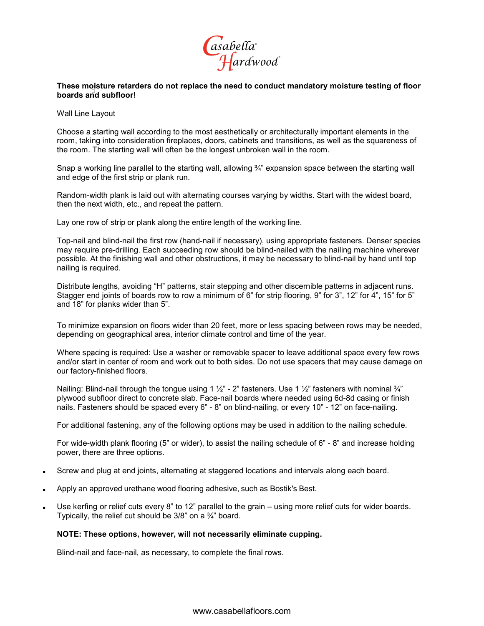

#### **These moisture retarders do not replace the need to conduct mandatory moisture testing of floor boards and subfloor!**

Wall Line Layout

Choose a starting wall according to the most aesthetically or architecturally important elements in the room, taking into consideration fireplaces, doors, cabinets and transitions, as well as the squareness of the room. The starting wall will often be the longest unbroken wall in the room.

Snap a working line parallel to the starting wall, allowing 3/4" expansion space between the starting wall and edge of the first strip or plank run.

Random-width plank is laid out with alternating courses varying by widths. Start with the widest board, then the next width, etc., and repeat the pattern.

Lay one row of strip or plank along the entire length of the working line.

Top-nail and blind-nail the first row (hand-nail if necessary), using appropriate fasteners. Denser species may require pre-drilling. Each succeeding row should be blind-nailed with the nailing machine wherever possible. At the finishing wall and other obstructions, it may be necessary to blind-nail by hand until top nailing is required.

Distribute lengths, avoiding "H" patterns, stair stepping and other discernible patterns in adjacent runs. Stagger end joints of boards row to row a minimum of 6" for strip flooring, 9" for 3", 12" for 4", 15" for 5" and 18" for planks wider than 5".

To minimize expansion on floors wider than 20 feet, more or less spacing between rows may be needed, depending on geographical area, interior climate control and time of the year.

Where spacing is required: Use a washer or removable spacer to leave additional space every few rows and/or start in center of room and work out to both sides. Do not use spacers that may cause damage on our factory-finished floors.

Nailing: Blind-nail through the tongue using 1  $\frac{1}{2}$ " - 2" fasteners. Use 1  $\frac{1}{2}$ " fasteners with nominal  $\frac{3}{4}$ " plywood subfloor direct to concrete slab. Face-nail boards where needed using 6d-8d casing or finish nails. Fasteners should be spaced every 6" - 8" on blind-nailing, or every 10" - 12" on face-nailing.

For additional fastening, any of the following options may be used in addition to the nailing schedule.

For wide-width plank flooring (5" or wider), to assist the nailing schedule of 6" - 8" and increase holding power, there are three options.

- Screw and plug at end joints, alternating at staggered locations and intervals along each board.
- Apply an approved urethane wood flooring adhesive, such as Bostik's Best.
- Use kerfing or relief cuts every 8" to 12" parallel to the grain using more relief cuts for wider boards. Typically, the relief cut should be 3/8" on a ¾" board.

#### **NOTE: These options, however, will not necessarily eliminate cupping.**

Blind-nail and face-nail, as necessary, to complete the final rows.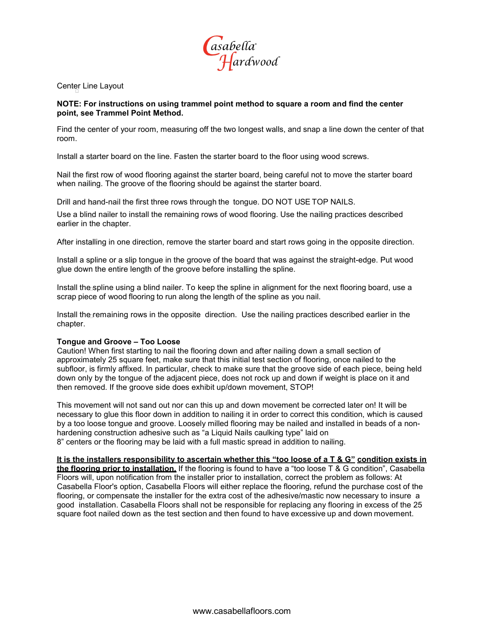

Center Line Layout

#### **NOTE: For instructions on using trammel point method to square a room and find the center point, see Trammel Point Method.**

Find the center of your room, measuring off the two longest walls, and snap a line down the center of that room.

Install a starter board on the line. Fasten the starter board to the floor using wood screws.

Nail the first row of wood flooring against the starter board, being careful not to move the starter board when nailing. The groove of the flooring should be against the starter board.

Drill and hand-nail the first three rows through the tongue. DO NOT USE TOP NAILS.

Use a blind nailer to install the remaining rows of wood flooring. Use the nailing practices described earlier in the chapter.

After installing in one direction, remove the starter board and start rows going in the opposite direction.

Install a spline or a slip tongue in the groove of the board that was against the straight-edge. Put wood glue down the entire length of the groove before installing the spline.

Install the spline using a blind nailer. To keep the spline in alignment for the next flooring board, use a scrap piece of wood flooring to run along the length of the spline as you nail.

Install the remaining rows in the opposite direction. Use the nailing practices described earlier in the chapter.

#### **Tongue and Groove – Too Loose**

Caution! When first starting to nail the flooring down and after nailing down a small section of approximately 25 square feet, make sure that this initial test section of flooring, once nailed to the subfloor, is firmly affixed. In particular, check to make sure that the groove side of each piece, being held down only by the tongue of the adjacent piece, does not rock up and down if weight is place on it and then removed. If the groove side does exhibit up/down movement, STOP!

This movement will not sand out nor can this up and down movement be corrected later on! It will be necessary to glue this floor down in addition to nailing it in order to correct this condition, which is caused by a too loose tongue and groove. Loosely milled flooring may be nailed and installed in beads of a nonhardening construction adhesive such as "a Liquid Nails caulking type" laid on 8" centers or the flooring may be laid with a full mastic spread in addition to nailing.

**It is the installers responsibility to ascertain whether this "too loose of a T & G" condition exists in the flooring prior to installation.** If the flooring is found to have a "too loose T & G condition", Casabella Floors will, upon notification from the installer prior to installation, correct the problem as follows: At Casabella Floor's option, Casabella Floors will either replace the flooring, refund the purchase cost of the flooring, or compensate the installer for the extra cost of the adhesive/mastic now necessary to insure a good installation. Casabella Floors shall not be responsible for replacing any flooring in excess of the 25 square foot nailed down as the test section and then found to have excessive up and down movement.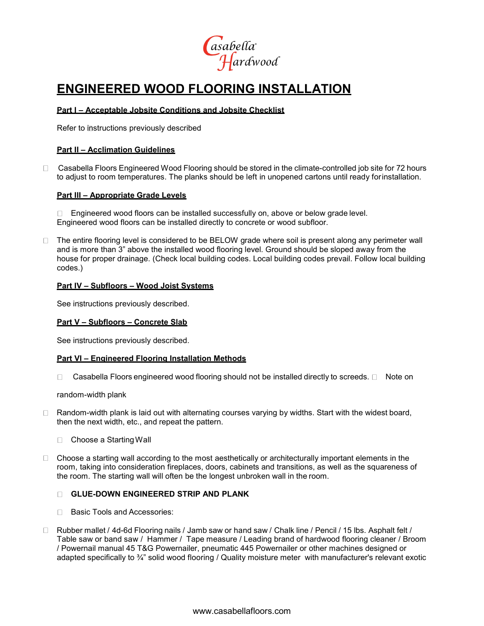

## **ENGINEERED WOOD FLOORING INSTALLATION**

#### **Part I – Acceptable Jobsite Conditions and Jobsite Checklist**

Refer to instructions previously described

#### **Part II – Acclimation Guidelines**

 $\Box$ Casabella Floors Engineered Wood Flooring should be stored in the climate-controlled job site for 72 hours to adjust to room temperatures. The planks should be left in unopened cartons until ready forinstallation.

#### **Part III – Appropriate Grade Levels**

□ Engineered wood floors can be installed successfully on, above or below grade level. Engineered wood floors can be installed directly to concrete or wood subfloor.

 $\Box$  The entire flooring level is considered to be BELOW grade where soil is present along any perimeter wall and is more than 3" above the installed wood flooring level. Ground should be sloped away from the house for proper drainage. (Check local building codes. Local building codes prevail. Follow local building codes.)

#### **Part IV – Subfloors – Wood Joist Systems**

See instructions previously described.

#### **Part V – Subfloors – Concrete Slab**

See instructions previously described.

#### **Part VI – Engineered Flooring Installation Methods**

 $\Box$  Casabella Floors engineered wood flooring should not be installed directly to screeds.  $\Box$  Note on

random-width plank

- $\Box$  Random-width plank is laid out with alternating courses varying by widths. Start with the widest board, then the next width, etc., and repeat the pattern.
	- $\Box$ Choose a StartingWall
- $\Box$  Choose a starting wall according to the most aesthetically or architecturally important elements in the room, taking into consideration fireplaces, doors, cabinets and transitions, as well as the squareness of the room. The starting wall will often be the longest unbroken wall in the room.

#### **GLUE-DOWN ENGINEERED STRIP AND PLANK**

- □ Basic Tools and Accessories:
- □ Rubber mallet / 4d-6d Flooring nails / Jamb saw or hand saw / Chalk line / Pencil / 15 lbs. Asphalt felt / Table saw or band saw / Hammer / Tape measure / Leading brand of hardwood flooring cleaner / Broom / Powernail manual 45 T&G Powernailer, pneumatic 445 Powernailer or other machines designed or adapted specifically to <sup>3</sup>/4" solid wood flooring / Quality moisture meter with manufacturer's relevant exotic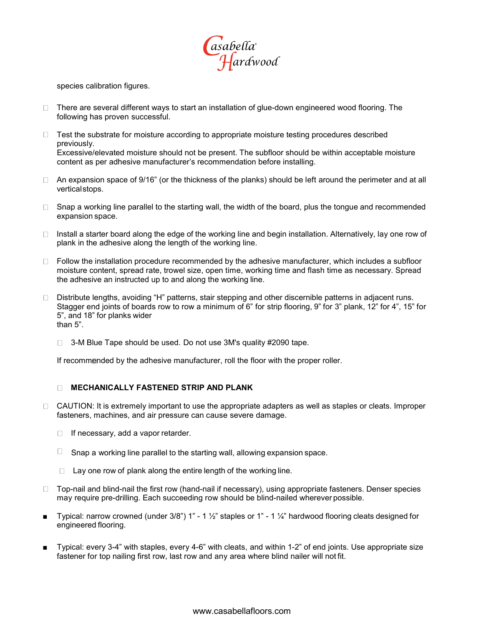

species calibration figures.

- $\Box$  There are several different ways to start an installation of glue-down engineered wood flooring. The following has proven successful.
- $\Box$  Test the substrate for moisture according to appropriate moisture testing procedures described previously. Excessive/elevated moisture should not be present. The subfloor should be within acceptable moisture content as per adhesive manufacturer's recommendation before installing.
- $\Box$  An expansion space of 9/16" (or the thickness of the planks) should be left around the perimeter and at all verticalstops.
- $\Box$  Snap a working line parallel to the starting wall, the width of the board, plus the tongue and recommended expansion space.
- $\Box$  Install a starter board along the edge of the working line and begin installation. Alternatively, lay one row of plank in the adhesive along the length of the working line.
- $\Box$  Follow the installation procedure recommended by the adhesive manufacturer, which includes a subfloor moisture content, spread rate, trowel size, open time, working time and flash time as necessary. Spread the adhesive an instructed up to and along the working line.
- Distribute lengths, avoiding "H" patterns, stair stepping and other discernible patterns in adjacent runs. Stagger end joints of boards row to row a minimum of 6" for strip flooring, 9" for 3" plank, 12" for 4", 15" for 5", and 18" for planks wider than 5".
	- □ 3-M Blue Tape should be used. Do not use 3M's quality #2090 tape.

If recommended by the adhesive manufacturer, roll the floor with the proper roller.

#### $\Box$ **MECHANICALLY FASTENED STRIP AND PLANK**

- $\Box$  CAUTION: It is extremely important to use the appropriate adapters as well as staples or cleats. Improper fasteners, machines, and air pressure can cause severe damage.
	- $\Box$  If necessary, add a vapor retarder.
	- $\Box$  Snap a working line parallel to the starting wall, allowing expansion space.
	- $\Box$  Lay one row of plank along the entire length of the working line.
- □ Top-nail and blind-nail the first row (hand-nail if necessary), using appropriate fasteners. Denser species may require pre-drilling. Each succeeding row should be blind-nailed wherever possible.
- Typical: narrow crowned (under  $3/8$ ") 1" 1  $\frac{1}{2}$ " staples or 1" 1  $\frac{1}{4}$ " hardwood flooring cleats designed for engineered flooring.
- Typical: every 3-4" with staples, every 4-6" with cleats, and within 1-2" of end joints. Use appropriate size fastener for top nailing first row, last row and any area where blind nailer will not fit.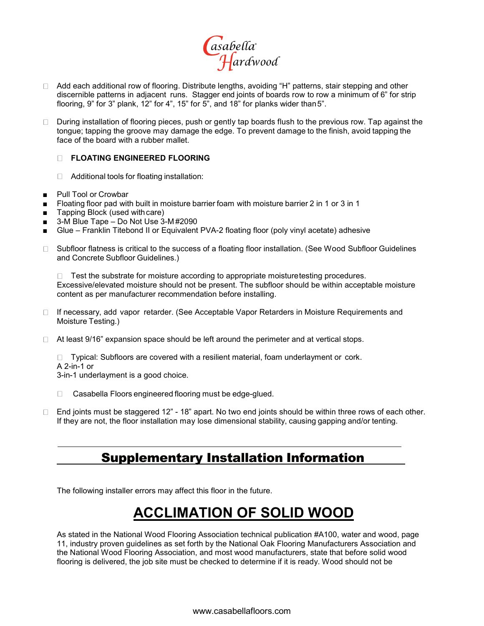

- □ Add each additional row of flooring. Distribute lengths, avoiding "H" patterns, stair stepping and other discernible patterns in adjacent runs. Stagger end joints of boards row to row a minimum of 6" for strip flooring, 9" for 3" plank, 12" for 4", 15" for 5", and 18" for planks wider than 5".
- □ During installation of flooring pieces, push or gently tap boards flush to the previous row. Tap against the tongue; tapping the groove may damage the edge. To prevent damage to the finish, avoid tapping the face of the board with a rubber mallet.

#### **FLOATING ENGINEERED FLOORING**

- □ Additional tools for floating installation:
- Pull Tool or Crowbar
- Floating floor pad with built in moisture barrier foam with moisture barrier 2 in 1 or 3 in 1
- Tapping Block (used with care)
- $3-M$  Blue Tape Do Not Use  $3-M#2090$
- Glue Franklin Titebond II or Equivalent PVA-2 floating floor (poly vinyl acetate) adhesive
- □ Subfloor flatness is critical to the success of a floating floor installation. (See Wood Subfloor Guidelines and Concrete Subfloor Guidelines.)

 $\Box$  Test the substrate for moisture according to appropriate moisturetesting procedures. Excessive/elevated moisture should not be present. The subfloor should be within acceptable moisture content as per manufacturer recommendation before installing.

- □ If necessary, add vapor retarder. (See Acceptable Vapor Retarders in Moisture Requirements and Moisture Testing.)
- At least 9/16" expansion space should be left around the perimeter and at vertical stops.

□ Typical: Subfloors are covered with a resilient material, foam underlayment or cork. A 2-in-1 or

3-in-1 underlayment is a good choice.

- □ Casabella Floors engineered flooring must be edge-glued.
- □ End joints must be staggered 12" 18" apart. No two end joints should be within three rows of each other. If they are not, the floor installation may lose dimensional stability, causing gapping and/or tenting.

## Supplementary Installation Information

The following installer errors may affect this floor in the future.

## **ACCLIMATION OF SOLID WOOD**

As stated in the National Wood Flooring Association technical publication #A100, water and wood, page 11, industry proven guidelines as set forth by the National Oak Flooring Manufacturers Association and the National Wood Flooring Association, and most wood manufacturers, state that before solid wood flooring is delivered, the job site must be checked to determine if it is ready. Wood should not be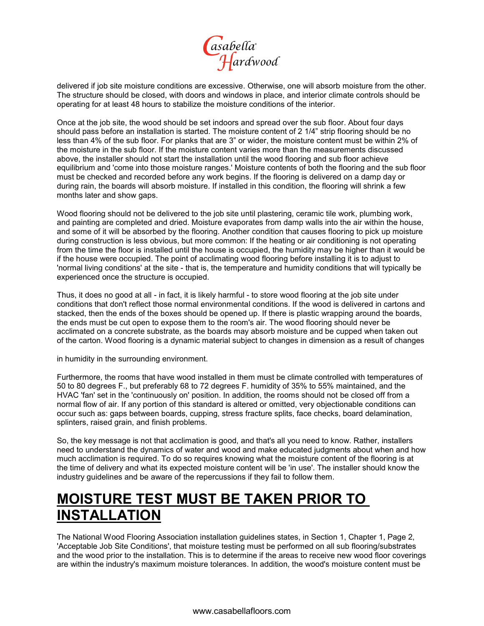

delivered if job site moisture conditions are excessive. Otherwise, one will absorb moisture from the other. The structure should be closed, with doors and windows in place, and interior climate controls should be operating for at least 48 hours to stabilize the moisture conditions of the interior.

Once at the job site, the wood should be set indoors and spread over the sub floor. About four days should pass before an installation is started. The moisture content of 2 1/4" strip flooring should be no less than 4% of the sub floor. For planks that are 3" or wider, the moisture content must be within 2% of the moisture in the sub floor. If the moisture content varies more than the measurements discussed above, the installer should not start the installation until the wood flooring and sub floor achieve equilibrium and 'come into those moisture ranges.' Moisture contents of both the flooring and the sub floor must be checked and recorded before any work begins. If the flooring is delivered on a damp day or during rain, the boards will absorb moisture. If installed in this condition, the flooring will shrink a few months later and show gaps.

Wood flooring should not be delivered to the job site until plastering, ceramic tile work, plumbing work, and painting are completed and dried. Moisture evaporates from damp walls into the air within the house, and some of it will be absorbed by the flooring. Another condition that causes flooring to pick up moisture during construction is less obvious, but more common: If the heating or air conditioning is not operating from the time the floor is installed until the house is occupied, the humidity may be higher than it would be if the house were occupied. The point of acclimating wood flooring before installing it is to adjust to 'normal living conditions' at the site - that is, the temperature and humidity conditions that will typically be experienced once the structure is occupied.

Thus, it does no good at all - in fact, it is likely harmful - to store wood flooring at the job site under conditions that don't reflect those normal environmental conditions. If the wood is delivered in cartons and stacked, then the ends of the boxes should be opened up. If there is plastic wrapping around the boards, the ends must be cut open to expose them to the room's air. The wood flooring should never be acclimated on a concrete substrate, as the boards may absorb moisture and be cupped when taken out of the carton. Wood flooring is a dynamic material subject to changes in dimension as a result of changes

in humidity in the surrounding environment.

Furthermore, the rooms that have wood installed in them must be climate controlled with temperatures of 50 to 80 degrees F., but preferably 68 to 72 degrees F. humidity of 35% to 55% maintained, and the HVAC 'fan' set in the 'continuously on' position. In addition, the rooms should not be closed off from a normal flow of air. If any portion of this standard is altered or omitted, very objectionable conditions can occur such as: gaps between boards, cupping, stress fracture splits, face checks, board delamination, splinters, raised grain, and finish problems.

So, the key message is not that acclimation is good, and that's all you need to know. Rather, installers need to understand the dynamics of water and wood and make educated judgments about when and how much acclimation is required. To do so requires knowing what the moisture content of the flooring is at the time of delivery and what its expected moisture content will be 'in use'. The installer should know the industry guidelines and be aware of the repercussions if they fail to follow them.

## **MOISTURE TEST MUST BE TAKEN PRIOR TO INSTALLATION**

The National Wood Flooring Association installation guidelines states, in Section 1, Chapter 1, Page 2, 'Acceptable Job Site Conditions', that moisture testing must be performed on all sub flooring/substrates and the wood prior to the installation. This is to determine if the areas to receive new wood floor coverings are within the industry's maximum moisture tolerances. In addition, the wood's moisture content must be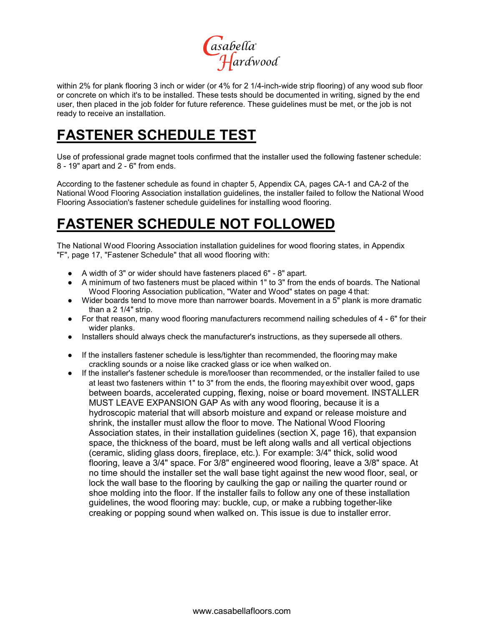

within 2% for plank flooring 3 inch or wider (or 4% for 2 1/4-inch-wide strip flooring) of any wood sub floor or concrete on which it's to be installed. These tests should be documented in writing, signed by the end user, then placed in the job folder for future reference. These guidelines must be met, or the job is not ready to receive an installation.

## **FASTENER SCHEDULE TEST**

Use of professional grade magnet tools confirmed that the installer used the following fastener schedule: 8 - 19" apart and 2 - 6" from ends.

According to the fastener schedule as found in chapter 5, Appendix CA, pages CA-1 and CA-2 of the National Wood Flooring Association installation guidelines, the installer failed to follow the National Wood Flooring Association's fastener schedule guidelines for installing wood flooring.

## **FASTENER SCHEDULE NOT FOLLOWED**

The National Wood Flooring Association installation guidelines for wood flooring states, in Appendix "F", page 17, "Fastener Schedule" that all wood flooring with:

- A width of 3" or wider should have fasteners placed 6" 8" apart.
- A minimum of two fasteners must be placed within 1" to 3" from the ends of boards. The National Wood Flooring Association publication, "Water and Wood" states on page 4 that:
- Wider boards tend to move more than narrower boards. Movement in a 5" plank is more dramatic than a 2 1/4" strip.
- For that reason, many wood flooring manufacturers recommend nailing schedules of 4 6" for their wider planks.
- Installers should always check the manufacturer's instructions, as they supersede all others.
- If the installers fastener schedule is less/tighter than recommended, the flooring may make crackling sounds or a noise like cracked glass or ice when walked on.
- If the installer's fastener schedule is more/looser than recommended, or the installer failed to use at least two fasteners within 1" to 3" from the ends, the flooring mayexhibit over wood, gaps between boards, accelerated cupping, flexing, noise or board movement. INSTALLER MUST LEAVE EXPANSION GAP As with any wood flooring, because it is a hydroscopic material that will absorb moisture and expand or release moisture and shrink, the installer must allow the floor to move. The National Wood Flooring Association states, in their installation guidelines (section X, page 16), that expansion space, the thickness of the board, must be left along walls and all vertical objections (ceramic, sliding glass doors, fireplace, etc.). For example: 3/4" thick, solid wood flooring, leave a 3/4" space. For 3/8" engineered wood flooring, leave a 3/8" space. At no time should the installer set the wall base tight against the new wood floor, seal, or lock the wall base to the flooring by caulking the gap or nailing the quarter round or shoe molding into the floor. If the installer fails to follow any one of these installation guidelines, the wood flooring may: buckle, cup, or make a rubbing together-like creaking or popping sound when walked on. This issue is due to installer error.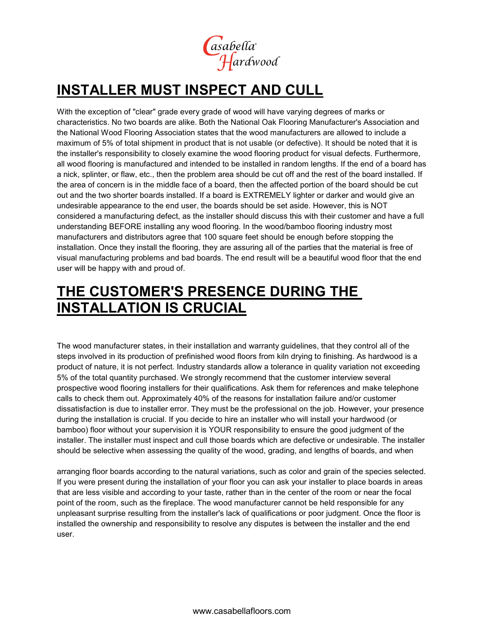

## **INSTALLER MUST INSPECT AND CULL**

With the exception of "clear" grade every grade of wood will have varying degrees of marks or characteristics. No two boards are alike. Both the National Oak Flooring Manufacturer's Association and the National Wood Flooring Association states that the wood manufacturers are allowed to include a maximum of 5% of total shipment in product that is not usable (or defective). It should be noted that it is the installer's responsibility to closely examine the wood flooring product for visual defects. Furthermore, all wood flooring is manufactured and intended to be installed in random lengths. If the end of a board has a nick, splinter, or flaw, etc., then the problem area should be cut off and the rest of the board installed. If the area of concern is in the middle face of a board, then the affected portion of the board should be cut out and the two shorter boards installed. If a board is EXTREMELY lighter or darker and would give an undesirable appearance to the end user, the boards should be set aside. However, this is NOT considered a manufacturing defect, as the installer should discuss this with their customer and have a full understanding BEFORE installing any wood flooring. In the wood/bamboo flooring industry most manufacturers and distributors agree that 100 square feet should be enough before stopping the installation. Once they install the flooring, they are assuring all of the parties that the material is free of visual manufacturing problems and bad boards. The end result will be a beautiful wood floor that the end user will be happy with and proud of.

## **THE CUSTOMER'S PRESENCE DURING THE INSTALLATION IS CRUCIAL**

The wood manufacturer states, in their installation and warranty guidelines, that they control all of the steps involved in its production of prefinished wood floors from kiln drying to finishing. As hardwood is a product of nature, it is not perfect. Industry standards allow a tolerance in quality variation not exceeding 5% of the total quantity purchased. We strongly recommend that the customer interview several prospective wood flooring installers for their qualifications. Ask them for references and make telephone calls to check them out. Approximately 40% of the reasons for installation failure and/or customer dissatisfaction is due to installer error. They must be the professional on the job. However, your presence during the installation is crucial. If you decide to hire an installer who will install your hardwood (or bamboo) floor without your supervision it is YOUR responsibility to ensure the good judgment of the installer. The installer must inspect and cull those boards which are defective or undesirable. The installer should be selective when assessing the quality of the wood, grading, and lengths of boards, and when

arranging floor boards according to the natural variations, such as color and grain of the species selected. If you were present during the installation of your floor you can ask your installer to place boards in areas that are less visible and according to your taste, rather than in the center of the room or near the focal point of the room, such as the fireplace. The wood manufacturer cannot be held responsible for any unpleasant surprise resulting from the installer's lack of qualifications or poor judgment. Once the floor is installed the ownership and responsibility to resolve any disputes is between the installer and the end user.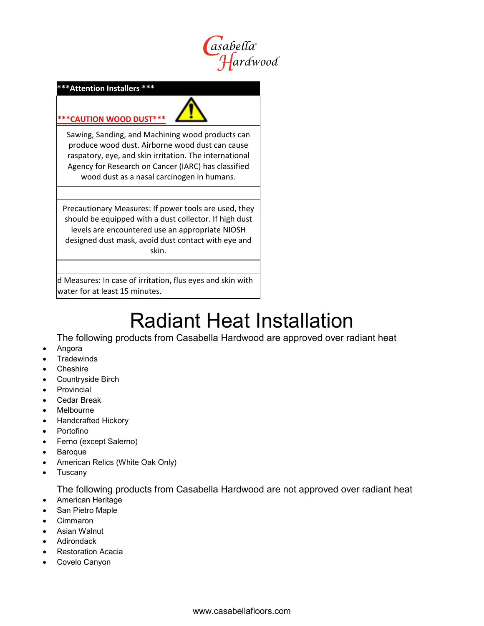

#### **\*\*\*Attention Installers \*\*\***

## **\*\*\*CAUTION WOOD DUST\*\*\***

Sawing, Sanding, and Machining wood products can produce wood dust. Airborne wood dust can cause raspatory, eye, and skin irritation. The international Agency for Research on Cancer (IARC) has classified wood dust as a nasal carcinogen in humans.

Precautionary Measures: If power tools are used, they should be equipped with a dust collector. If high dust levels are encountered use an appropriate NIOSH designed dust mask, avoid dust contact with eye and skin.

 d Measures: In case of irritation, flus eyes and skin with water for at least 15 minutes.

# Radiant Heat Installation

The following products from Casabella Hardwood are approved over radiant heat

- Angora
- **Tradewinds**
- **Cheshire**
- Countryside Birch
- **Provincial**
- Cedar Break
- **Melbourne**
- Handcrafted Hickory
- Portofino
- Ferno (except Salerno)
- **Baroque**
- American Relics (White Oak Only)
- Tuscany

The following products from Casabella Hardwood are not approved over radiant heat

- American Heritage
- San Pietro Maple
- Cimmaron
- Asian Walnut
- Adirondack
- Restoration Acacia
- Covelo Canyon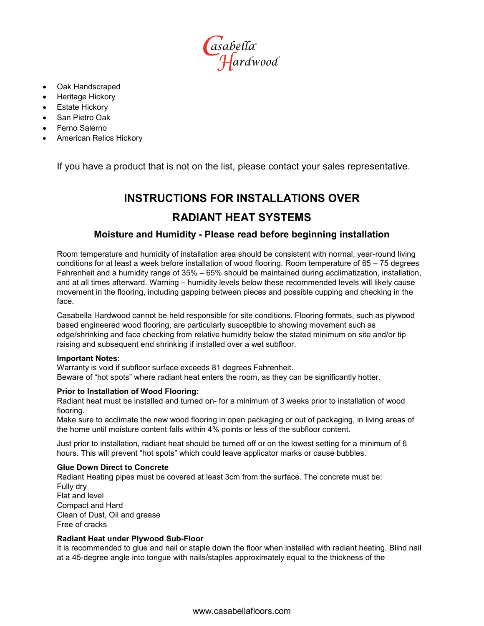asabella<br>Hardwood

- Oak Handscraped
- Heritage Hickory
- **Estate Hickory**
- San Pietro Oak
- Ferno Salerno
- American Relics Hickory

If you have a product that is not on the list, please contact your sales representative.

## **INSTRUCTIONS FOR INSTALLATIONS OVER RADIANT HEAT SYSTEMS**

### **Moisture and Humidity - Please read before beginning installation**

Room temperature and humidity of installation area should be consistent with normal, year-round living conditions for at least a week before installation of wood flooring. Room temperature of 65 – 75 degrees Fahrenheit and a humidity range of 35% – 65% should be maintained during acclimatization, installation, and at all times afterward. Warning – humidity levels below these recommended levels will likely cause movement in the flooring, including gapping between pieces and possible cupping and checking in the face.

Casabella Hardwood cannot be held responsible for site conditions. Flooring formats, such as plywood based engineered wood flooring, are particularly susceptible to showing movement such as edge/shrinking and face checking from relative humidity below the stated minimum on site and/or tip raising and subsequent end shrinking if installed over a wet subfloor.

#### **Important Notes:**

Warranty is void if subfloor surface exceeds 81 degrees Fahrenheit. Beware of "hot spots" where radiant heat enters the room, as they can be significantly hotter.

#### **Prior to Installation of Wood Flooring:**

Radiant heat must be installed and turned on- for a minimum of 3 weeks prior to installation of wood flooring.

Make sure to acclimate the new wood flooring in open packaging or out of packaging, in living areas of the home until moisture content falls within 4% points or less of the subfloor content.

Just prior to installation, radiant heat should be turned off or on the lowest setting for a minimum of 6 hours. This will prevent "hot spots" which could leave applicator marks or cause bubbles.

#### **Glue Down Direct to Concrete**

Radiant Heating pipes must be covered at least 3cm from the surface. The concrete must be: Fully dry Flat and level Compact and Hard Clean of Dust, Oil and grease Free of cracks

#### **Radiant Heat under Plywood Sub-Floor**

It is recommended to glue and nail or staple down the floor when installed with radiant heating. Blind nail at a 45-degree angle into tongue with nails/staples approximately equal to the thickness of the